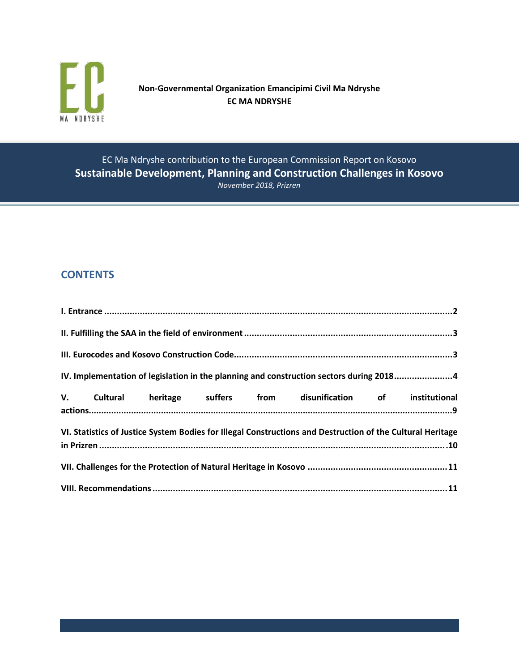

**Non-Governmental Organization Emancipimi Civil Ma Ndryshe EC MA NDRYSHE**

EC Ma Ndryshe contribution to the European Commission Report on Kosovo **Sustainable Development, Planning and Construction Challenges in Kosovo** *November 2018, Prizren*

# **CONTENTS**

| IV. Implementation of legislation in the planning and construction sectors during 20184                    |  |  |  |  |                                                                   |  |  |
|------------------------------------------------------------------------------------------------------------|--|--|--|--|-------------------------------------------------------------------|--|--|
|                                                                                                            |  |  |  |  | V. Cultural heritage suffers from disunification of institutional |  |  |
| VI. Statistics of Justice System Bodies for Illegal Constructions and Destruction of the Cultural Heritage |  |  |  |  |                                                                   |  |  |
|                                                                                                            |  |  |  |  |                                                                   |  |  |
|                                                                                                            |  |  |  |  |                                                                   |  |  |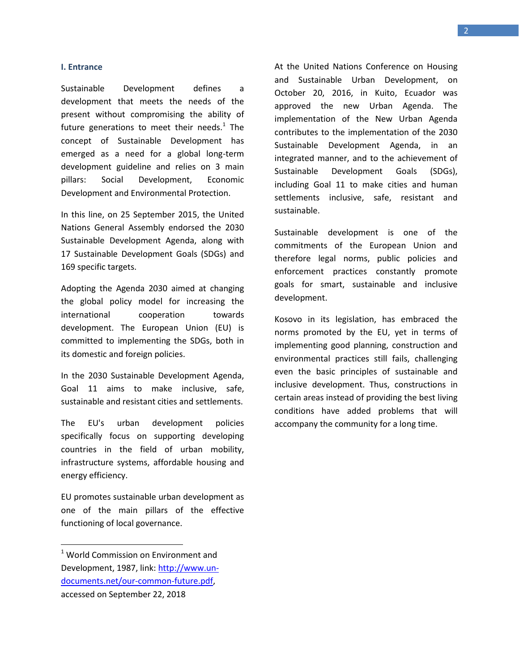#### **I. Entrance**

Sustainable Development defines a development that meets the needs of the present without compromising the ability of future generations to meet their needs. $1$  The concept of Sustainable Development has emerged as a need for a global long-term development guideline and relies on 3 main pillars: Social Development, Economic Development and Environmental Protection.

In this line, on 25 September 2015, the United Nations General Assembly endorsed the 2030 Sustainable Development Agenda, along with 17 Sustainable Development Goals (SDGs) and 169 specific targets.

Adopting the Agenda 2030 aimed at changing the global policy model for increasing the international cooperation towards development. The European Union (EU) is committed to implementing the SDGs, both in its domestic and foreign policies.

In the 2030 Sustainable Development Agenda, Goal 11 aims to make inclusive, safe, sustainable and resistant cities and settlements.

The EU's urban development policies specifically focus on supporting developing countries in the field of urban mobility, infrastructure systems, affordable housing and energy efficiency.

EU promotes sustainable urban development as one of the main pillars of the effective functioning of local governance.

 $\overline{\phantom{a}}$ 

At the United Nations Conference on Housing and Sustainable Urban Development, on October 20, 2016, in Kuito, Ecuador was approved the new Urban Agenda. The implementation of the New Urban Agenda contributes to the implementation of the 2030 Sustainable Development Agenda, in an integrated manner, and to the achievement of Sustainable Development Goals (SDGs), including Goal 11 to make cities and human settlements inclusive, safe, resistant and sustainable.

Sustainable development is one of the commitments of the European Union and therefore legal norms, public policies and enforcement practices constantly promote goals for smart, sustainable and inclusive development.

Kosovo in its legislation, has embraced the norms promoted by the EU, yet in terms of implementing good planning, construction and environmental practices still fails, challenging even the basic principles of sustainable and inclusive development. Thus, constructions in certain areas instead of providing the best living conditions have added problems that will accompany the community for a long time.

 $1$  World Commission on Environment and Development, 1987, link[: http://www.un](http://www.un-documents.net/our-common-future.pdf)[documents.net/our-common-future.pdf,](http://www.un-documents.net/our-common-future.pdf) accessed on September 22, 2018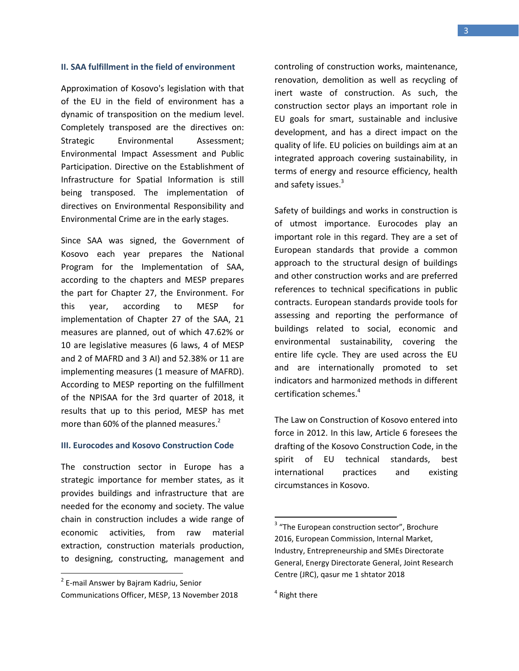#### **II. SAA fulfillment in the field of environment**

Approximation of Kosovo's legislation with that of the EU in the field of environment has a dynamic of transposition on the medium level. Completely transposed are the directives on: Strategic Environmental Assessment; Environmental Impact Assessment and Public Participation. Directive on the Establishment of Infrastructure for Spatial Information is still being transposed. The implementation of directives on Environmental Responsibility and Environmental Crime are in the early stages.

Since SAA was signed, the Government of Kosovo each year prepares the National Program for the Implementation of SAA, according to the chapters and MESP prepares the part for Chapter 27, the Environment. For this year, according to MESP for implementation of Chapter 27 of the SAA, 21 measures are planned, out of which 47.62% or 10 are legislative measures (6 laws, 4 of MESP and 2 of MAFRD and 3 AI) and 52.38% or 11 are implementing measures (1 measure of MAFRD). According to MESP reporting on the fulfillment of the NPISAA for the 3rd quarter of 2018, it results that up to this period, MESP has met more than 60% of the planned measures.<sup>2</sup>

#### **III. Eurocodes and Kosovo Construction Code**

The construction sector in Europe has a strategic importance for member states, as it provides buildings and infrastructure that are needed for the economy and society. The value chain in construction includes a wide range of economic activities, from raw material extraction, construction materials production, to designing, constructing, management and

 $\overline{\phantom{a}}$ 

controling of construction works, maintenance, renovation, demolition as well as recycling of inert waste of construction. As such, the construction sector plays an important role in EU goals for smart, sustainable and inclusive development, and has a direct impact on the quality of life. EU policies on buildings aim at an integrated approach covering sustainability, in terms of energy and resource efficiency, health and safety issues.<sup>3</sup>

Safety of buildings and works in construction is of utmost importance. Eurocodes play an important role in this regard. They are a set of European standards that provide a common approach to the structural design of buildings and other construction works and are preferred references to technical specifications in public contracts. European standards provide tools for assessing and reporting the performance of buildings related to social, economic and environmental sustainability, covering the entire life cycle. They are used across the EU and are internationally promoted to set indicators and harmonized methods in different certification schemes. 4

The Law on Construction of Kosovo entered into force in 2012. In this law, Article 6 foresees the drafting of the Kosovo Construction Code, in the spirit of EU technical standards, best international practices and existing circumstances in Kosovo.

<sup>&</sup>lt;sup>2</sup> E-mail Answer by Bajram Kadriu, Senior Communications Officer, MESP, 13 November 2018

<sup>&</sup>lt;sup>3</sup> "The European construction sector", Brochure 2016, European Commission, Internal Market, Industry, Entrepreneurship and SMEs Directorate General, Energy Directorate General, Joint Research Centre (JRC), qasur me 1 shtator 2018

<sup>&</sup>lt;sup>4</sup> Right there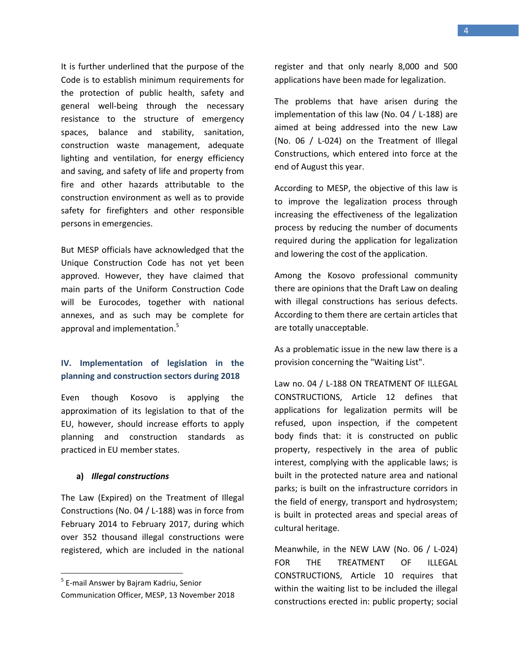It is further underlined that the purpose of the Code is to establish minimum requirements for the protection of public health, safety and general well-being through the necessary resistance to the structure of emergency spaces, balance and stability, sanitation, construction waste management, adequate lighting and ventilation, for energy efficiency and saving, and safety of life and property from fire and other hazards attributable to the construction environment as well as to provide safety for firefighters and other responsible persons in emergencies.

But MESP officials have acknowledged that the Unique Construction Code has not yet been approved. However, they have claimed that main parts of the Uniform Construction Code will be Eurocodes, together with national annexes, and as such may be complete for approval and implementation.<sup>5</sup>

### **IV. Implementation of legislation in the planning and construction sectors during 2018**

Even though Kosovo is applying the approximation of its legislation to that of the EU, however, should increase efforts to apply planning and construction standards as practiced in EU member states.

#### **a)** *Illegal constructions*

 $\overline{\phantom{a}}$ 

The Law (Expired) on the Treatment of Illegal Constructions (No. 04 / L-188) was in force from February 2014 to February 2017, during which over 352 thousand illegal constructions were registered, which are included in the national

register and that only nearly 8,000 and 500 applications have been made for legalization.

The problems that have arisen during the implementation of this law (No. 04 / L-188) are aimed at being addressed into the new Law (No. 06 / L-024) on the Treatment of Illegal Constructions, which entered into force at the end of August this year.

According to MESP, the objective of this law is to improve the legalization process through increasing the effectiveness of the legalization process by reducing the number of documents required during the application for legalization and lowering the cost of the application.

Among the Kosovo professional community there are opinions that the Draft Law on dealing with illegal constructions has serious defects. According to them there are certain articles that are totally unacceptable.

As a problematic issue in the new law there is a provision concerning the "Waiting List".

Law no. 04 / L-188 ON TREATMENT OF ILLEGAL CONSTRUCTIONS, Article 12 defines that applications for legalization permits will be refused, upon inspection, if the competent body finds that: it is constructed on public property, respectively in the area of public interest, complying with the applicable laws; is built in the protected nature area and national parks; is built on the infrastructure corridors in the field of energy, transport and hydrosystem; is built in protected areas and special areas of cultural heritage.

Meanwhile, in the NEW LAW (No. 06 / L-024) FOR THE TREATMENT OF ILLEGAL CONSTRUCTIONS, Article 10 requires that within the waiting list to be included the illegal constructions erected in: public property; social

<sup>&</sup>lt;sup>5</sup> E-mail Answer by Bajram Kadriu, Senior Communication Officer, MESP, 13 November 2018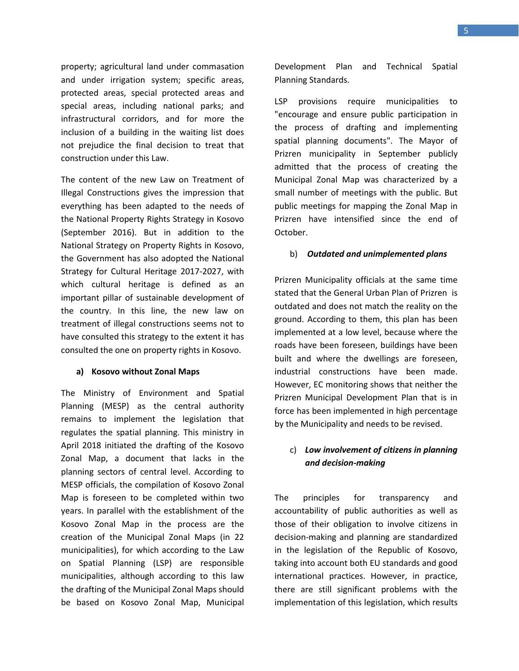property; agricultural land under commasation and under irrigation system; specific areas, protected areas, special protected areas and special areas, including national parks; and infrastructural corridors, and for more the inclusion of a building in the waiting list does not prejudice the final decision to treat that construction under this Law.

The content of the new Law on Treatment of Illegal Constructions gives the impression that everything has been adapted to the needs of the National Property Rights Strategy in Kosovo (September 2016). But in addition to the National Strategy on Property Rights in Kosovo, the Government has also adopted the National Strategy for Cultural Heritage 2017-2027, with which cultural heritage is defined as an important pillar of sustainable development of the country. In this line, the new law on treatment of illegal constructions seems not to have consulted this strategy to the extent it has consulted the one on property rights in Kosovo.

#### **a) Kosovo without Zonal Maps**

The Ministry of Environment and Spatial Planning (MESP) as the central authority remains to implement the legislation that regulates the spatial planning. This ministry in April 2018 initiated the drafting of the Kosovo Zonal Map, a document that lacks in the planning sectors of central level. According to MESP officials, the compilation of Kosovo Zonal Map is foreseen to be completed within two years. In parallel with the establishment of the Kosovo Zonal Map in the process are the creation of the Municipal Zonal Maps (in 22 municipalities), for which according to the Law on Spatial Planning (LSP) are responsible municipalities, although according to this law the drafting of the Municipal Zonal Maps should be based on Kosovo Zonal Map, Municipal

Development Plan and Technical Spatial Planning Standards.

LSP provisions require municipalities to "encourage and ensure public participation in the process of drafting and implementing spatial planning documents". The Mayor of Prizren municipality in September publicly admitted that the process of creating the Municipal Zonal Map was characterized by a small number of meetings with the public. But public meetings for mapping the Zonal Map in Prizren have intensified since the end of October.

#### b) *Outdated and unimplemented plans*

Prizren Municipality officials at the same time stated that the General Urban Plan of Prizren is outdated and does not match the reality on the ground. According to them, this plan has been implemented at a low level, because where the roads have been foreseen, buildings have been built and where the dwellings are foreseen, industrial constructions have been made. However, EC monitoring shows that neither the Prizren Municipal Development Plan that is in force has been implemented in high percentage by the Municipality and needs to be revised.

### c) *Low involvement of citizens in planning and decision-making*

The principles for transparency and accountability of public authorities as well as those of their obligation to involve citizens in decision-making and planning are standardized in the legislation of the Republic of Kosovo, taking into account both EU standards and good international practices. However, in practice, there are still significant problems with the implementation of this legislation, which results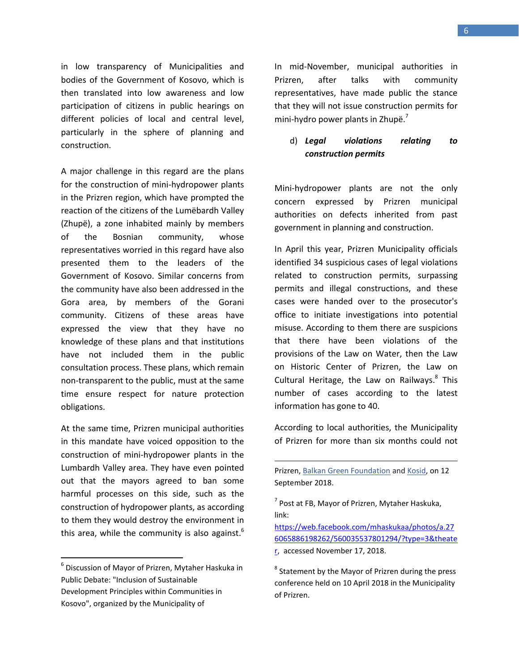in low transparency of Municipalities and bodies of the Government of Kosovo, which is then translated into low awareness and low participation of citizens in public hearings on different policies of local and central level, particularly in the sphere of planning and construction.

A major challenge in this regard are the plans for the construction of mini-hydropower plants in the Prizren region, which have prompted the reaction of the citizens of the Lumëbardh Valley (Zhupë), a zone inhabited mainly by members of the Bosnian community, whose representatives worried in this regard have also presented them to the leaders of the Government of Kosovo. Similar concerns from the community have also been addressed in the Gora area, by members of the Gorani community. Citizens of these areas have expressed the view that they have no knowledge of these plans and that institutions have not included them in the public consultation process. These plans, which remain non-transparent to the public, must at the same time ensure respect for nature protection obligations.

At the same time, Prizren municipal authorities in this mandate have voiced opposition to the construction of mini-hydropower plants in the Lumbardh Valley area. They have even pointed out that the mayors agreed to ban some harmful processes on this side, such as the construction of hydropower plants, as according to them they would destroy the environment in this area, while the community is also against.<sup>6</sup>

 $\overline{\phantom{a}}$ 

In mid-November, municipal authorities in Prizren, after talks with community representatives, have made public the stance that they will not issue construction permits for mini-hydro power plants in Zhupë.<sup>7</sup>

### d) *Legal violations relating to construction permits*

Mini-hydropower plants are not the only concern expressed by Prizren municipal authorities on defects inherited from past government in planning and construction.

In April this year, Prizren Municipality officials identified 34 suspicious cases of legal violations related to construction permits, surpassing permits and illegal constructions, and these cases were handed over to the prosecutor's office to initiate investigations into potential misuse. According to them there are suspicions that there have been violations of the provisions of the Law on Water, then the Law on Historic Center of Prizren, the Law on Cultural Heritage, the Law on Railways.<sup>8</sup> This number of cases according to the latest information has gone to 40.

According to local authorities, the Municipality of Prizren for more than six months could not

<sup>6</sup> Discussion of Mayor of Prizren, Mytaher Haskuka in Public Debate: "Inclusion of Sustainable Development Principles within Communities in Kosovo", organized by the Municipality of

Prizren, [Balkan Green Foundation](https://www.facebook.com/balkangf/?fref=mentions&__xts__%5B0%5D=68.ARB70FJaokniYeAzrxwZWSPSA_jND1eHgGcQ3zjdwnxTS7693AyUaq7jnAnZY9qHbtUtRRfDSWy9fRCvjAlURGZqnPeBX98m-FCDhpqThS7I-3oHoCtS4ISLRWO6PMvboZaHrOdDch7PaGtk0uXW5bnGlt3U0jQ5pRlAQkubpanPKkyIB1RYDDkNyv_xF4wHUAeab7LzwaB1PJZr9GQI3_sT45A_QTqK0DAgbIY&__tn__=K-R) and [Kosid,](https://www.facebook.com/KOSID.Kosovo/?fref=mentions&__xts__%5B0%5D=68.ARB70FJaokniYeAzrxwZWSPSA_jND1eHgGcQ3zjdwnxTS7693AyUaq7jnAnZY9qHbtUtRRfDSWy9fRCvjAlURGZqnPeBX98m-FCDhpqThS7I-3oHoCtS4ISLRWO6PMvboZaHrOdDch7PaGtk0uXW5bnGlt3U0jQ5pRlAQkubpanPKkyIB1RYDDkNyv_xF4wHUAeab7LzwaB1PJZr9GQI3_sT45A_QTqK0DAgbIY&__tn__=K-R) on 12 September 2018.

 $<sup>7</sup>$  Post at FB, Mayor of Prizren, Mytaher Haskuka,</sup> link:

[https://web.facebook.com/mhaskukaa/photos/a.27](https://web.facebook.com/mhaskukaa/photos/a.276065886198262/560035537801294/?type=3&theater) [6065886198262/560035537801294/?type=3&theate](https://web.facebook.com/mhaskukaa/photos/a.276065886198262/560035537801294/?type=3&theater) [r,](https://web.facebook.com/mhaskukaa/photos/a.276065886198262/560035537801294/?type=3&theater) accessed November 17, 2018.

 $^8$  Statement by the Mayor of Prizren during the press conference held on 10 April 2018 in the Municipality of Prizren.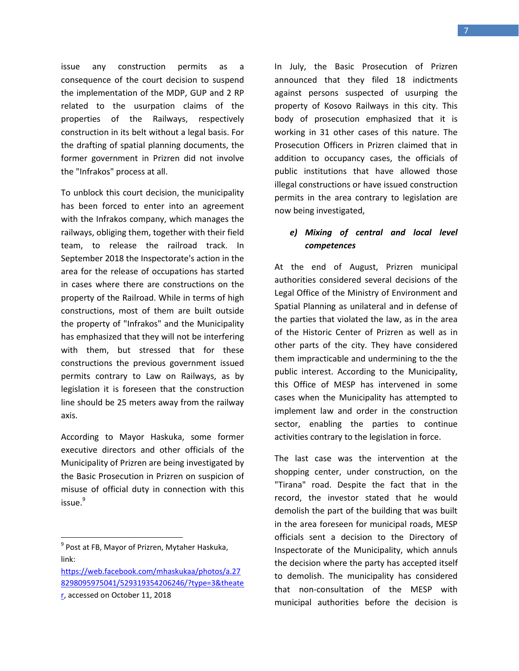issue any construction permits as a consequence of the court decision to suspend the implementation of the MDP, GUP and 2 RP related to the usurpation claims of the properties of the Railways, respectively construction in its belt without a legal basis. For the drafting of spatial planning documents, the former government in Prizren did not involve the "Infrakos" process at all.

To unblock this court decision, the municipality has been forced to enter into an agreement with the Infrakos company, which manages the railways, obliging them, together with their field team, to release the railroad track. In September 2018 the Inspectorate's action in the area for the release of occupations has started in cases where there are constructions on the property of the Railroad. While in terms of high constructions, most of them are built outside the property of "Infrakos" and the Municipality has emphasized that they will not be interfering with them, but stressed that for these constructions the previous government issued permits contrary to Law on Railways, as by legislation it is foreseen that the construction line should be 25 meters away from the railway axis.

According to Mayor Haskuka, some former executive directors and other officials of the Municipality of Prizren are being investigated by the Basic Prosecution in Prizren on suspicion of misuse of official duty in connection with this issue.<sup>9</sup>

[https://web.facebook.com/mhaskukaa/photos/a.27](https://web.facebook.com/mhaskukaa/photos/a.278298095975041/529319354206246/?type=3&theater) [8298095975041/529319354206246/?type=3&theate](https://web.facebook.com/mhaskukaa/photos/a.278298095975041/529319354206246/?type=3&theater)

 $\overline{\phantom{a}}$ 

In July, the Basic Prosecution of Prizren announced that they filed 18 indictments against persons suspected of usurping the property of Kosovo Railways in this city. This body of prosecution emphasized that it is working in 31 other cases of this nature. The Prosecution Officers in Prizren claimed that in addition to occupancy cases, the officials of public institutions that have allowed those illegal constructions or have issued construction permits in the area contrary to legislation are now being investigated,

### *e) Mixing of central and local level competences*

At the end of August, Prizren municipal authorities considered several decisions of the Legal Office of the Ministry of Environment and Spatial Planning as unilateral and in defense of the parties that violated the law, as in the area of the Historic Center of Prizren as well as in other parts of the city. They have considered them impracticable and undermining to the the public interest. According to the Municipality, this Office of MESP has intervened in some cases when the Municipality has attempted to implement law and order in the construction sector, enabling the parties to continue activities contrary to the legislation in force.

The last case was the intervention at the shopping center, under construction, on the "Tirana" road. Despite the fact that in the record, the investor stated that he would demolish the part of the building that was built in the area foreseen for municipal roads, MESP officials sent a decision to the Directory of Inspectorate of the Municipality, which annuls the decision where the party has accepted itself to demolish. The municipality has considered that non-consultation of the MESP with municipal authorities before the decision is

<sup>&</sup>lt;sup>9</sup> Post at FB, Mayor of Prizren, Mytaher Haskuka, link:

[r,](https://web.facebook.com/mhaskukaa/photos/a.278298095975041/529319354206246/?type=3&theater) accessed on October 11, 2018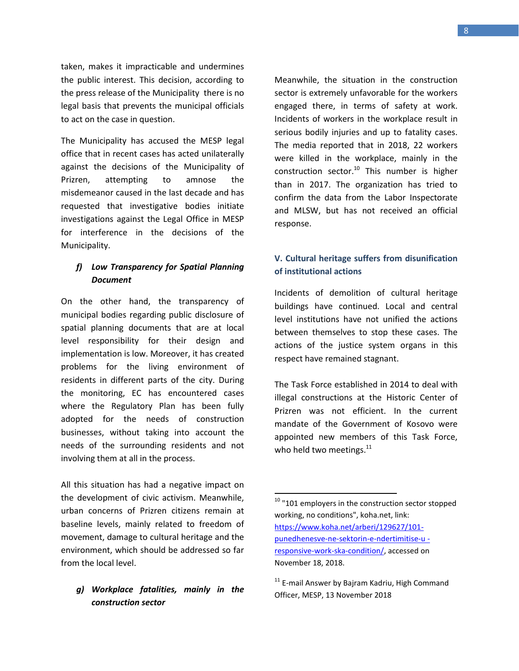taken, makes it impracticable and undermines the public interest. This decision, according to the press release of the Municipality there is no legal basis that prevents the municipal officials to act on the case in question.

The Municipality has accused the MESP legal office that in recent cases has acted unilaterally against the decisions of the Municipality of Prizren, attempting to amnose the misdemeanor caused in the last decade and has requested that investigative bodies initiate investigations against the Legal Office in MESP for interference in the decisions of the Municipality.

### *f) Low Transparency for Spatial Planning Document*

On the other hand, the transparency of municipal bodies regarding public disclosure of spatial planning documents that are at local level responsibility for their design and implementation is low. Moreover, it has created problems for the living environment of residents in different parts of the city. During the monitoring, EC has encountered cases where the Regulatory Plan has been fully adopted for the needs of construction businesses, without taking into account the needs of the surrounding residents and not involving them at all in the process.

All this situation has had a negative impact on the development of civic activism. Meanwhile, urban concerns of Prizren citizens remain at baseline levels, mainly related to freedom of movement, damage to cultural heritage and the environment, which should be addressed so far from the local level.

#### *g) Workplace fatalities, mainly in the construction sector*

Meanwhile, the situation in the construction sector is extremely unfavorable for the workers engaged there, in terms of safety at work. Incidents of workers in the workplace result in serious bodily injuries and up to fatality cases. The media reported that in 2018, 22 workers were killed in the workplace, mainly in the construction sector.<sup>10</sup> This number is higher than in 2017. The organization has tried to confirm the data from the Labor Inspectorate and MLSW, but has not received an official response.

### **V. Cultural heritage suffers from disunification of institutional actions**

Incidents of demolition of cultural heritage buildings have continued. Local and central level institutions have not unified the actions between themselves to stop these cases. The actions of the justice system organs in this respect have remained stagnant.

The Task Force established in 2014 to deal with illegal constructions at the Historic Center of Prizren was not efficient. In the current mandate of the Government of Kosovo were appointed new members of this Task Force, who held two meetings.<sup>11</sup>

 $10$  "101 employers in the construction sector stopped working, no conditions", koha.net, link: [https://www.koha.net/arberi/129627/101](https://www.koha.net/arberi/129627/101-punedhenesve-ne-sektorin-e-ndertimitise-u%20-responsive-work-ska-condition/) [punedhenesve-ne-sektorin-e-ndertimitise-u](https://www.koha.net/arberi/129627/101-punedhenesve-ne-sektorin-e-ndertimitise-u%20-responsive-work-ska-condition/)  [responsive-work-ska-condition/,](https://www.koha.net/arberi/129627/101-punedhenesve-ne-sektorin-e-ndertimitise-u%20-responsive-work-ska-condition/) accessed on November 18, 2018.

<sup>&</sup>lt;sup>11</sup> E-mail Answer by Bajram Kadriu, High Command Officer, MESP, 13 November 2018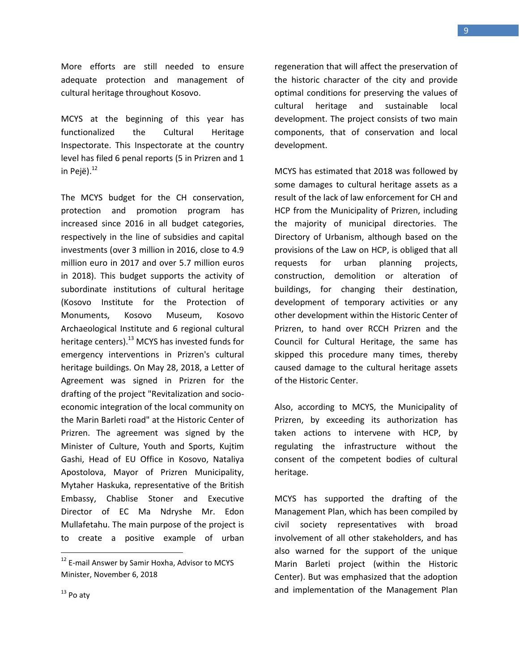More efforts are still needed to ensure adequate protection and management of cultural heritage throughout Kosovo.

MCYS at the beginning of this year has functionalized the Cultural Heritage Inspectorate. This Inspectorate at the country level has filed 6 penal reports (5 in Prizren and 1 in Pejë). $^{12}$ 

The MCYS budget for the CH conservation, protection and promotion program has increased since 2016 in all budget categories, respectively in the line of subsidies and capital investments (over 3 million in 2016, close to 4.9 million euro in 2017 and over 5.7 million euros in 2018). This budget supports the activity of subordinate institutions of cultural heritage (Kosovo Institute for the Protection of Monuments, Kosovo Museum, Kosovo Archaeological Institute and 6 regional cultural heritage centers).<sup>13</sup> MCYS has invested funds for emergency interventions in Prizren's cultural heritage buildings. On May 28, 2018, a Letter of Agreement was signed in Prizren for the drafting of the project "Revitalization and socioeconomic integration of the local community on the Marin Barleti road" at the Historic Center of Prizren. The agreement was signed by the Minister of Culture, Youth and Sports, Kujtim Gashi, Head of EU Office in Kosovo, Nataliya Apostolova, Mayor of Prizren Municipality, Mytaher Haskuka, representative of the British Embassy, Chablise Stoner and Executive Director of EC Ma Ndryshe Mr. Edon Mullafetahu. The main purpose of the project is to create a positive example of urban

regeneration that will affect the preservation of the historic character of the city and provide optimal conditions for preserving the values of cultural heritage and sustainable local development. The project consists of two main components, that of conservation and local development.

MCYS has estimated that 2018 was followed by some damages to cultural heritage assets as a result of the lack of law enforcement for CH and HCP from the Municipality of Prizren, including the majority of municipal directories. The Directory of Urbanism, although based on the provisions of the Law on HCP, is obliged that all requests for urban planning projects, construction, demolition or alteration of buildings, for changing their destination, development of temporary activities or any other development within the Historic Center of Prizren, to hand over RCCH Prizren and the Council for Cultural Heritage, the same has skipped this procedure many times, thereby caused damage to the cultural heritage assets of the Historic Center.

Also, according to MCYS, the Municipality of Prizren, by exceeding its authorization has taken actions to intervene with HCP, by regulating the infrastructure without the consent of the competent bodies of cultural heritage.

MCYS has supported the drafting of the Management Plan, which has been compiled by civil society representatives with broad involvement of all other stakeholders, and has also warned for the support of the unique Marin Barleti project (within the Historic Center). But was emphasized that the adoption and implementation of the Management Plan

<sup>&</sup>lt;sup>12</sup> E-mail Answer by Samir Hoxha, Advisor to MCYS Minister, November 6, 2018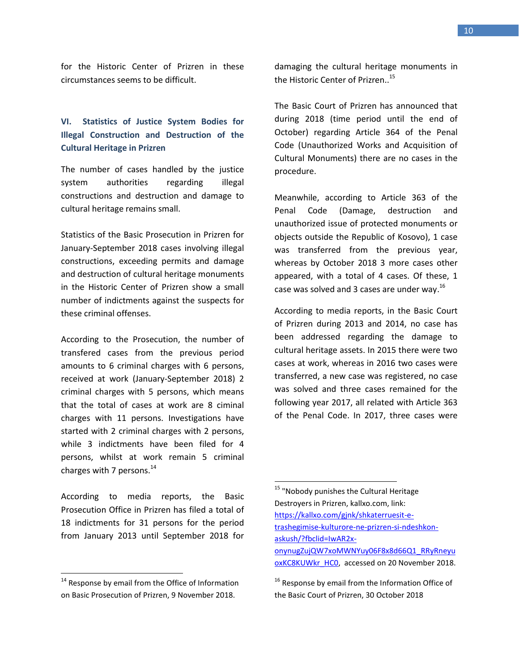for the Historic Center of Prizren in these circumstances seems to be difficult.

## **VI. Statistics of Justice System Bodies for Illegal Construction and Destruction of the Cultural Heritage in Prizren**

The number of cases handled by the justice system authorities regarding illegal constructions and destruction and damage to cultural heritage remains small.

Statistics of the Basic Prosecution in Prizren for January-September 2018 cases involving illegal constructions, exceeding permits and damage and destruction of cultural heritage monuments in the Historic Center of Prizren show a small number of indictments against the suspects for these criminal offenses.

According to the Prosecution, the number of transfered cases from the previous period amounts to 6 criminal charges with 6 persons, received at work (January-September 2018) 2 criminal charges with 5 persons, which means that the total of cases at work are 8 ciminal charges with 11 persons. Investigations have started with 2 criminal charges with 2 persons, while 3 indictments have been filed for 4 persons, whilst at work remain 5 criminal charges with 7 persons.<sup>14</sup>

According to media reports, the Basic Prosecution Office in Prizren has filed a total of 18 indictments for 31 persons for the period from January 2013 until September 2018 for

 $\overline{\phantom{a}}$ 

damaging the cultural heritage monuments in the Historic Center of Prizren.. 15

The Basic Court of Prizren has announced that during 2018 (time period until the end of October) regarding Article 364 of the Penal Code (Unauthorized Works and Acquisition of Cultural Monuments) there are no cases in the procedure.

Meanwhile, according to Article 363 of the Penal Code (Damage, destruction and unauthorized issue of protected monuments or objects outside the Republic of Kosovo), 1 case was transferred from the previous year, whereas by October 2018 3 more cases other appeared, with a total of 4 cases. Of these, 1 case was solved and 3 cases are under way.<sup>16</sup>

According to media reports, in the Basic Court of Prizren during 2013 and 2014, no case has been addressed regarding the damage to cultural heritage assets. In 2015 there were two cases at work, whereas in 2016 two cases were transferred, a new case was registered, no case was solved and three cases remained for the following year 2017, all related with Article 363 of the Penal Code. In 2017, three cases were

 $\overline{a}$ 

 $14$  Response by email from the Office of Information on Basic Prosecution of Prizren, 9 November 2018.

<sup>&</sup>lt;sup>15</sup> "Nobody punishes the Cultural Heritage Destroyers in Prizren, kallxo.com, link: [https://kallxo.com/gjnk/shkaterruesit-e](https://kallxo.com/gjnk/shkaterruesit-e-trashegimise-kulturore-ne-prizren-si-ndeshkon-askush/?fbclid=IwAR2x-onynugZujQW7xoMWNYuy06F8x8d66Q1_RRyRneyuoxKC8KUWkr_HC0)[trashegimise-kulturore-ne-prizren-si-ndeshkon](https://kallxo.com/gjnk/shkaterruesit-e-trashegimise-kulturore-ne-prizren-si-ndeshkon-askush/?fbclid=IwAR2x-onynugZujQW7xoMWNYuy06F8x8d66Q1_RRyRneyuoxKC8KUWkr_HC0)[askush/?fbclid=IwAR2x](https://kallxo.com/gjnk/shkaterruesit-e-trashegimise-kulturore-ne-prizren-si-ndeshkon-askush/?fbclid=IwAR2x-onynugZujQW7xoMWNYuy06F8x8d66Q1_RRyRneyuoxKC8KUWkr_HC0)[onynugZujQW7xoMWNYuy06F8x8d66Q1\\_RRyRneyu](https://kallxo.com/gjnk/shkaterruesit-e-trashegimise-kulturore-ne-prizren-si-ndeshkon-askush/?fbclid=IwAR2x-onynugZujQW7xoMWNYuy06F8x8d66Q1_RRyRneyuoxKC8KUWkr_HC0) [oxKC8KUWkr\\_HC0,](https://kallxo.com/gjnk/shkaterruesit-e-trashegimise-kulturore-ne-prizren-si-ndeshkon-askush/?fbclid=IwAR2x-onynugZujQW7xoMWNYuy06F8x8d66Q1_RRyRneyuoxKC8KUWkr_HC0) accessed on 20 November 2018.

<sup>&</sup>lt;sup>16</sup> Response by email from the Information Office of the Basic Court of Prizren, 30 October 2018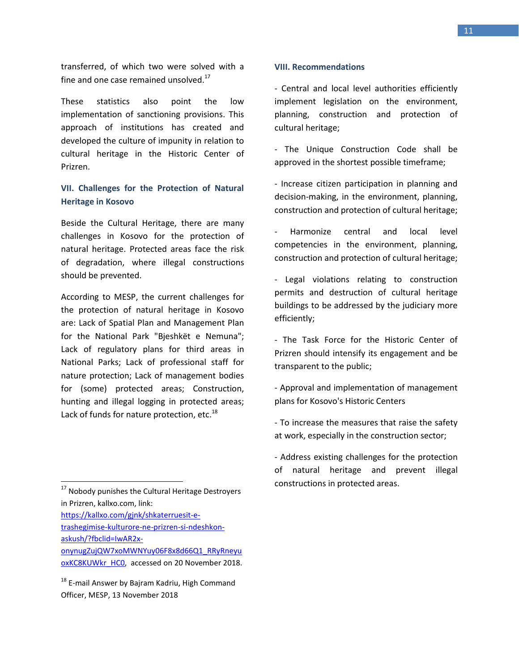transferred, of which two were solved with a fine and one case remained unsolved. $^{17}$ 

These statistics also point the low implementation of sanctioning provisions. This approach of institutions has created and developed the culture of impunity in relation to cultural heritage in the Historic Center of Prizren.

### **VII. Challenges for the Protection of Natural Heritage in Kosovo**

Beside the Cultural Heritage, there are many challenges in Kosovo for the protection of natural heritage. Protected areas face the risk of degradation, where illegal constructions should be prevented.

According to MESP, the current challenges for the protection of natural heritage in Kosovo are: Lack of Spatial Plan and Management Plan for the National Park "Bjeshkët e Nemuna"; Lack of regulatory plans for third areas in National Parks; Lack of professional staff for nature protection; Lack of management bodies for (some) protected areas; Construction, hunting and illegal logging in protected areas; Lack of funds for nature protection, etc.<sup>18</sup>

 $\overline{a}$ 

[https://kallxo.com/gjnk/shkaterruesit-e](https://kallxo.com/gjnk/shkaterruesit-e-trashegimise-kulturore-ne-prizren-si-ndeshkon-askush/?fbclid=IwAR2x-onynugZujQW7xoMWNYuy06F8x8d66Q1_RRyRneyuoxKC8KUWkr_HC0)[trashegimise-kulturore-ne-prizren-si-ndeshkon](https://kallxo.com/gjnk/shkaterruesit-e-trashegimise-kulturore-ne-prizren-si-ndeshkon-askush/?fbclid=IwAR2x-onynugZujQW7xoMWNYuy06F8x8d66Q1_RRyRneyuoxKC8KUWkr_HC0)[askush/?fbclid=IwAR2x](https://kallxo.com/gjnk/shkaterruesit-e-trashegimise-kulturore-ne-prizren-si-ndeshkon-askush/?fbclid=IwAR2x-onynugZujQW7xoMWNYuy06F8x8d66Q1_RRyRneyuoxKC8KUWkr_HC0)[onynugZujQW7xoMWNYuy06F8x8d66Q1\\_RRyRneyu](https://kallxo.com/gjnk/shkaterruesit-e-trashegimise-kulturore-ne-prizren-si-ndeshkon-askush/?fbclid=IwAR2x-onynugZujQW7xoMWNYuy06F8x8d66Q1_RRyRneyuoxKC8KUWkr_HC0)

#### **VIII. Recommendations**

- Central and local level authorities efficiently implement legislation on the environment, planning, construction and protection of cultural heritage;

- The Unique Construction Code shall be approved in the shortest possible timeframe;

- Increase citizen participation in planning and decision-making, in the environment, planning, construction and protection of cultural heritage;

- Harmonize central and local level competencies in the environment, planning, construction and protection of cultural heritage;

- Legal violations relating to construction permits and destruction of cultural heritage buildings to be addressed by the judiciary more efficiently;

- The Task Force for the Historic Center of Prizren should intensify its engagement and be transparent to the public;

- Approval and implementation of management plans for Kosovo's Historic Centers

- To increase the measures that raise the safety at work, especially in the construction sector;

- Address existing challenges for the protection of natural heritage and prevent illegal constructions in protected areas.

 $17$  Nobody punishes the Cultural Heritage Destroyers in Prizren, kallxo.com, link:

[oxKC8KUWkr\\_HC0,](https://kallxo.com/gjnk/shkaterruesit-e-trashegimise-kulturore-ne-prizren-si-ndeshkon-askush/?fbclid=IwAR2x-onynugZujQW7xoMWNYuy06F8x8d66Q1_RRyRneyuoxKC8KUWkr_HC0) accessed on 20 November 2018.

<sup>&</sup>lt;sup>18</sup> E-mail Answer by Bajram Kadriu, High Command Officer, MESP, 13 November 2018